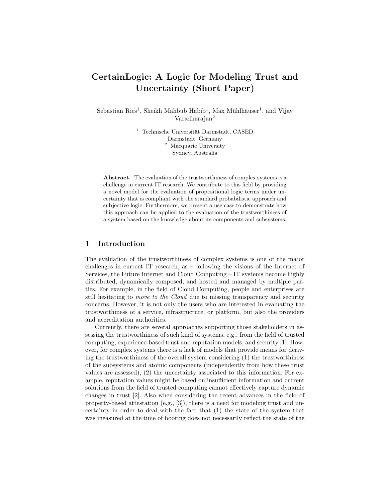# CertainLogic: A Logic for Modeling Trust and Uncertainty (Short Paper)

Sebastian Ries<sup>1</sup>, Sheikh Mahbub Habib<sup>1</sup>, Max Mühlhäuser<sup>1</sup>, and Vijay Varadharajan<sup>2</sup>

> $^1$  Technische Universität Darmstadt, CASED Darmstadt, Germany <sup>2</sup> Macquarie University Sydney, Australia

Abstract. The evaluation of the trustworthiness of complex systems is a challenge in current IT research. We contribute to this field by providing a novel model for the evaluation of propositional logic terms under uncertainty that is compliant with the standard probabilistic approach and subjective logic. Furthermore, we present a use case to demonstrate how this approach can be applied to the evaluation of the trustworthiness of a system based on the knowledge about its components and subsystems.

# 1 Introduction

The evaluation of the trustworthiness of complex systems is one of the major challenges in current IT research, as – following the visions of the Internet of Services, the Future Internet and Cloud Computing – IT systems become highly distributed, dynamically composed, and hosted and managed by multiple parties. For example, in the field of Cloud Computing, people and enterprises are still hesitating to move to the Cloud due to missing transparency and security concerns. However, it is not only the users who are interested in evaluating the trustworthiness of a service, infrastructure, or platform, but also the providers and accreditation authorities.

Currently, there are several approaches supporting those stakeholders in assessing the trustworthiness of such kind of systems, e.g., from the field of trusted computing, experience-based trust and reputation models, and security [1]. However, for complex systems there is a lack of models that provide means for deriving the trustworthiness of the overall system considering (1) the trustworthiness of the subsystems and atomic components (independently from how these trust values are assessed), (2) the uncertainty associated to this information. For example, reputation values might be based on insufficient information and current solutions from the field of trusted computing cannot effectively capture dynamic changes in trust [2]. Also when considering the recent advances in the field of property-based attestation (e.g.,  $[3]$ ), there is a need for modeling trust and uncertainty in order to deal with the fact that (1) the state of the system that was measured at the time of booting does not necessarily reflect the state of the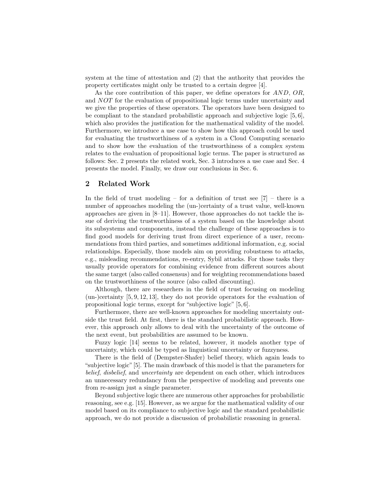system at the time of attestation and (2) that the authority that provides the property certificates might only be trusted to a certain degree [4].

As the core contribution of this paper, we define operators for AND, OR, and NOT for the evaluation of propositional logic terms under uncertainty and we give the properties of these operators. The operators have been designed to be compliant to the standard probabilistic approach and subjective logic [5, 6], which also provides the justification for the mathematical validity of the model. Furthermore, we introduce a use case to show how this approach could be used for evaluating the trustworthiness of a system in a Cloud Computing scenario and to show how the evaluation of the trustworthiness of a complex system relates to the evaluation of propositional logic terms. The paper is structured as follows: Sec. 2 presents the related work, Sec. 3 introduces a use case and Sec. 4 presents the model. Finally, we draw our conclusions in Sec. 6.

## 2 Related Work

In the field of trust modeling – for a definition of trust see  $[7]$  – there is a number of approaches modeling the (un-)certainty of a trust value, well-known approaches are given in [8–11]. However, those approaches do not tackle the issue of deriving the trustworthiness of a system based on the knowledge about its subsystems and components, instead the challenge of these approaches is to find good models for deriving trust from direct experience of a user, recommendations from third parties, and sometimes additional information, e.g. social relationships. Especially, those models aim on providing robustness to attacks, e.g., misleading recommendations, re-entry, Sybil attacks. For those tasks they usually provide operators for combining evidence from different sources about the same target (also called consensus) and for weighting recommendations based on the trustworthiness of the source (also called discounting).

Although, there are researchers in the field of trust focusing on modeling (un-)certainty [5, 9, 12, 13], they do not provide operators for the evaluation of propositional logic terms, except for "subjective logic" [5, 6].

Furthermore, there are well-known approaches for modeling uncertainty outside the trust field. At first, there is the standard probabilistic approach. However, this approach only allows to deal with the uncertainty of the outcome of the next event, but probabilities are assumed to be known.

Fuzzy logic [14] seems to be related, however, it models another type of uncertainty, which could be typed as linguistical uncertainty or fuzzyness.

There is the field of (Dempster-Shafer) belief theory, which again leads to "subjective logic"[5]. The main drawback of this model is that the parameters for belief, disbelief, and uncertainty are dependent on each other, which introduces an unnecessary redundancy from the perspective of modeling and prevents one from re-assign just a single parameter.

Beyond subjective logic there are numerous other approaches for probabilistic reasoning, see e.g. [15]. However, as we argue for the mathematical validity of our model based on its compliance to subjective logic and the standard probabilistic approach, we do not provide a discussion of probabilistic reasoning in general.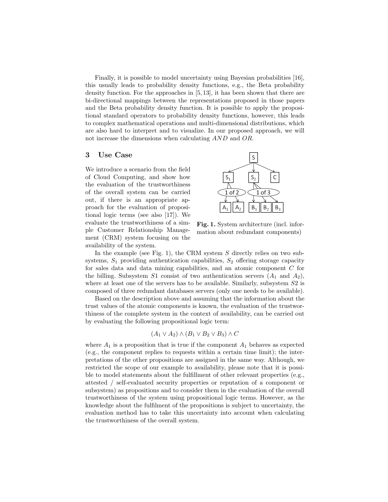Finally, it is possible to model uncertainty using Bayesian probabilities [16], this usually leads to probability density functions, e.g., the Beta probability density function. For the approaches in [5, 13], it has been shown that there are bi-directional mappings between the representations proposed in those papers and the Beta probability density function. It is possible to apply the propositional standard operators to probability density functions, however, this leads to complex mathematical operations and multi-dimensional distributions, which are also hard to interpret and to visualize. In our proposed approach, we will not increase the dimensions when calculating AND and OR.

## 3 Use Case

We introduce a scenario from the field of Cloud Computing, and show how the evaluation of the trustworthiness of the overall system can be carried out, if there is an appropriate approach for the evaluation of propositional logic terms (see also [17]). We evaluate the trustworthiness of a simple Customer Relationship Management (CRM) system focusing on the availability of the system.



Fig. 1. System architecture (incl. information about redundant components)

In the example (see Fig. 1), the CRM system  $S$  directly relies on two subsystems,  $S_1$  providing authentication capabilities,  $S_2$  offering storage capacity for sales data and data mining capabilities, and an atomic component C for the billing. Subsystem S1 consist of two authentication servers  $(A_1 \text{ and } A_2)$ , where at least one of the servers has to be available. Similarly, subsystem  $S2$  is composed of three redundant databases servers (only one needs to be available).

Based on the description above and assuming that the information about the trust values of the atomic components is known, the evaluation of the trustworthiness of the complete system in the context of availability, can be carried out by evaluating the following propositional logic term:

$$
(A_1 \vee A_2) \wedge (B_1 \vee B_2 \vee B_3) \wedge C
$$

where  $A_1$  is a proposition that is true if the component  $A_1$  behaves as expected (e.g., the component replies to requests within a certain time limit); the interpretations of the other propositions are assigned in the same way. Although, we restricted the scope of our example to availability, please note that it is possible to model statements about the fulfillment of other relevant properties (e.g., attested / self-evaluated security properties or reputation of a component or subsystem) as propositions and to consider them in the evaluation of the overall trustworthiness of the system using propositional logic terms. However, as the knowledge about the fulfilment of the propositions is subject to uncertainty, the evaluation method has to take this uncertainty into account when calculating the trustworthiness of the overall system.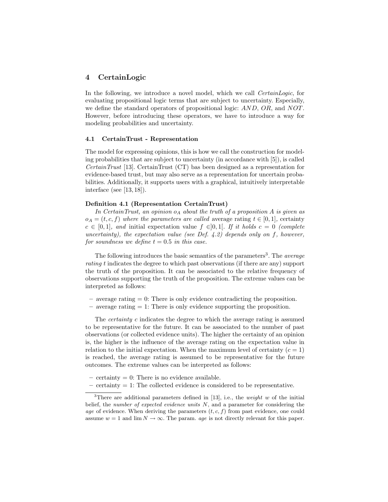# 4 CertainLogic

In the following, we introduce a novel model, which we call *CertainLogic*, for evaluating propositional logic terms that are subject to uncertainty. Especially, we define the standard operators of propositional logic: AND, OR, and NOT. However, before introducing these operators, we have to introduce a way for modeling probabilities and uncertainty.

#### 4.1 CertainTrust - Representation

The model for expressing opinions, this is how we call the construction for modeling probabilities that are subject to uncertainty (in accordance with [5]), is called CertainTrust [13]. CertainTrust (CT) bas been designed as a representation for evidence-based trust, but may also serve as a representation for uncertain probabilities. Additionally, it supports users with a graphical, intuitively interpretable interface (see [13, 18]).

#### Definition 4.1 (Representation CertainTrust)

In CertainTrust, an opinion  $o<sub>A</sub>$  about the truth of a proposition A is given as  $o_A = (t, c, f)$  where the parameters are called average rating  $t \in [0, 1]$ , certainty  $c \in [0,1]$ , and initial expectation value  $f \in ]0,1[$ . If it holds  $c = 0$  (complete uncertainty), the expectation value (see Def. 4.2) depends only on f, however, for soundness we define  $t = 0.5$  in this case.

The following introduces the basic semantics of the parameters<sup>3</sup>. The *average* rating t indicates the degree to which past observations (if there are any) support the truth of the proposition. It can be associated to the relative frequency of observations supporting the truth of the proposition. The extreme values can be interpreted as follows:

- $-$  average rating  $= 0$ : There is only evidence contradicting the proposition.
- average rating = 1: There is only evidence supporting the proposition.

The *certainty* c indicates the degree to which the average rating is assumed to be representative for the future. It can be associated to the number of past observations (or collected evidence units). The higher the certainty of an opinion is, the higher is the influence of the average rating on the expectation value in relation to the initial expectation. When the maximum level of certainty  $(c = 1)$ is reached, the average rating is assumed to be representative for the future outcomes. The extreme values can be interpreted as follows:

- $\sim$  certainty  $= 0$ : There is no evidence available.
- $-$  certainty  $= 1$ : The collected evidence is considered to be representative.

<sup>&</sup>lt;sup>3</sup>There are additional parameters defined in [13], i.e., the *weight* w of the initial belief, the number of expected evidence units N, and a parameter for considering the age of evidence. When deriving the parameters  $(t, c, f)$  from past evidence, one could assume  $w = 1$  and  $\lim_{N \to \infty} N$ . The param. age is not directly relevant for this paper.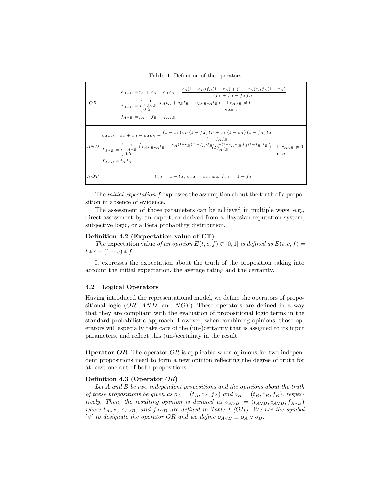Table 1. Definition of the operators

| ΟR  | $c_{A \vee B} = \! \! c_{A} + c_{B} - c_{A} c_{B} - \frac{c_{A}(1 - c_{B}) f_{B}(1 - t_{A}) + (1 - c_{A}) c_{B} f_{A}(1 - t_{B})}{f_{A} + f_{B} - f_{A} f_{B}}$<br>$t_{A\vee B}=\left\{\begin{array}{ll} \frac{1}{c_A\vee B}\left(c_A t_A+c_B t_B-c_A c_B t_A t_B\right) & \text{if } c_{A\vee B}\neq 0 \enspace, \\ 0.5 & \text{else} \enspace. \end{array}\right. ,$<br>$f_{A\vee B} = f_A + f_B - f_A f_B$                                                                                      |  |
|-----|----------------------------------------------------------------------------------------------------------------------------------------------------------------------------------------------------------------------------------------------------------------------------------------------------------------------------------------------------------------------------------------------------------------------------------------------------------------------------------------------------|--|
|     | $\begin{array}{ c c } \hline \\ & \multicolumn{3}{c }{\text{\small $c_{A\wedge B} = c_A + c_B - c_A c_B - \frac{\left(1 - c_A\right)c_B \left(1 - f_A\right)t_B + c_A \left(1 - c_B\right)\left(1 - f_B\right)t_A$}{1 - f_A f_B}$}}\\ \hline \\ & \multicolumn{2}{c }{\text{\small $AND$}}\hline \\ & \multicolumn{2}{c }{t_{A\wedge B} = \left\{\frac{1}{c_{A\wedge B}}\left(c_A c_B t_A t_B + \frac{c_A (1 - c_B)(1 - f_A)f_B t_A + (1 - c_A)c_B f_A (1 - f_B)t_B$<br>$f_{A \wedge B} = f_A f_B$ |  |
| NOT | $t_{-A} = 1 - t_A$ , $c_{-A} = c_A$ , and $f_{-A} = 1 - f_A$                                                                                                                                                                                                                                                                                                                                                                                                                                       |  |

The *initial expectation* f expresses the assumption about the truth of a proposition in absence of evidence.

The assessment of those parameters can be achieved in multiple ways, e.g., direct assessment by an expert, or derived from a Bayesian reputation system, subjective logic, or a Beta probability distribution.

#### Definition 4.2 (Expectation value of CT)

The expectation value of an opinion  $E(t, c, f) \in [0, 1]$  is defined as  $E(t, c, f) =$  $t * c + (1 - c) * f$ .

It expresses the expectation about the truth of the proposition taking into account the initial expectation, the average rating and the certainty.

#### 4.2 Logical Operators

Having introduced the representational model, we define the operators of propositional logic  $(OR, AND, and NOT)$ . These operators are defined in a way that they are compliant with the evaluation of propositional logic terms in the standard probabilistic approach. However, when combining opinions, those operators will especially take care of the (un-)certainty that is assigned to its input parameters, and reflect this (un-)certainty in the result.

**Operator OR** The operator OR is applicable when opinions for two independent propositions need to form a new opinion reflecting the degree of truth for at least one out of both propositions.

#### Definition 4.3 (Operator OR)

Let A and B be two independent propositions and the opinions about the truth of these propositions be given as  $o_A = (t_A, c_A, f_A)$  and  $o_B = (t_B, c_B, f_B)$ , respectively. Then, the resulting opinion is denoted as  $o_{A \vee B} = (t_{A \vee B}, c_{A \vee B}, f_{A \vee B})$ where  $t_{A\vee B}$ ,  $c_{A\vee B}$ , and  $f_{A\vee B}$  are defined in Table 1 (OR). We use the symbol ' $\vee$ ' to designate the operator OR and we define  $o_{A\vee B} \equiv o_A \vee o_B$ .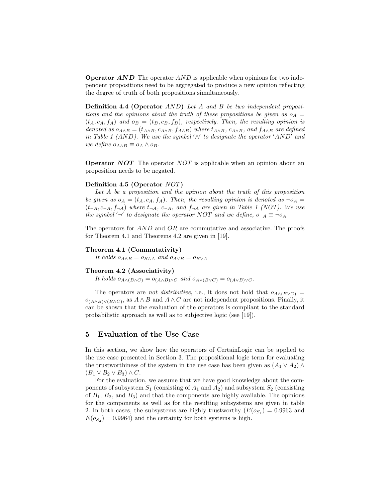**Operator AND** The operator  $AND$  is applicable when opinions for two independent propositions need to be aggregated to produce a new opinion reflecting the degree of truth of both propositions simultaneously.

Definition 4.4 (Operator AND) Let A and B be two independent propositions and the opinions about the truth of these propositions be given as  $o_A =$  $(t_A, c_A, f_A)$  and  $o_B = (t_B, c_B, f_B)$ , respectively. Then, the resulting opinion is denoted as  $o_{A\wedge B} = (t_{A\wedge B}, c_{A\wedge B}, f_{A\wedge B})$  where  $t_{A\wedge B}, c_{A\wedge B},$  and  $f_{A\wedge B}$  are defined in Table 1 (AND). We use the symbol ' $\wedge'$  to designate the operator  $'AND'$  and we define  $o_{A \wedge B} \equiv o_A \wedge o_B$ .

**Operator NOT** The operator NOT is applicable when an opinion about an proposition needs to be negated.

#### Definition 4.5 (Operator NOT)

Let A be a proposition and the opinion about the truth of this proposition be given as  $o_A = (t_A, c_A, f_A)$ . Then, the resulting opinion is denoted as  $\neg o_A =$  $(t_{\neg A}, c_{\neg A}, f_{\neg A})$  where  $t_{\neg A}$ ,  $c_{\neg A}$ , and  $f_{\neg A}$  are given in Table 1 (NOT). We use the symbol  $'\neg'$  to designate the operator NOT and we define,  $o_{\neg A} \equiv \neg o_A$ 

The operators for AND and OR are commutative and associative. The proofs for Theorem 4.1 and Theorems 4.2 are given in [19].

#### Theorem 4.1 (Commutativity)

It holds  $o_{A \wedge B} = o_{B \wedge A}$  and  $o_{A \vee B} = o_{B \vee A}$ 

#### Theorem 4.2 (Associativity)

It holds  $o_{A \wedge (B \wedge C)} = o_{(A \wedge B) \wedge C}$  and  $o_{A \vee (B \vee C)} = o_{(A \vee B) \vee C}$ .

The operators are *not distributive*, i.e., it does not hold that  $o_{A \wedge (B \vee C)}$  $o_{(A \wedge B) \vee (B \wedge C)}$ , as  $A \wedge B$  and  $A \wedge C$  are not independent propositions. Finally, it can be shown that the evaluation of the operators is compliant to the standard probabilistic approach as well as to subjective logic (see [19]).

# 5 Evaluation of the Use Case

In this section, we show how the operators of CertainLogic can be applied to the use case presented in Section 3. The propositional logic term for evaluating the trustworthiness of the system in the use case has been given as  $(A_1 \vee A_2) \wedge$  $(B_1 \vee B_2 \vee B_3) \wedge C$ .

For the evaluation, we assume that we have good knowledge about the components of subsystem  $S_1$  (consisting of  $A_1$  and  $A_2$ ) and subsystem  $S_2$  (consisting of  $B_1$ ,  $B_2$ , and  $B_3$ ) and that the components are highly available. The opinions for the components as well as for the resulting subsystems are given in table 2. In both cases, the subsystems are highly trustworthy  $(E(o_{S_1}) = 0.9963$  and  $E(o_{S_2}) = 0.9964$ ) and the certainty for both systems is high.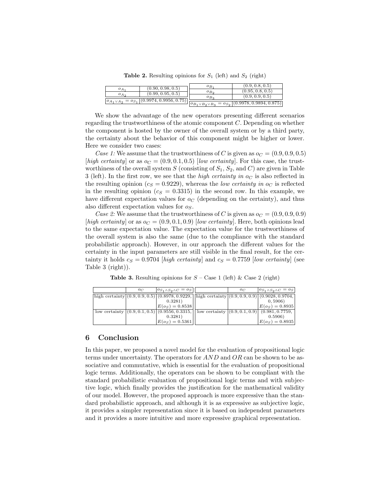Table 2. Resulting opinions for  $S_1$  (left) and  $S_2$  (right)

| (0.90, 0.98, 0.5)                                   | oв        | (0.9, 0.8, 0.5)                                                                   |  |
|-----------------------------------------------------|-----------|-----------------------------------------------------------------------------------|--|
| $O_{A_1}$<br>(0.99, 0.95, 0.5)                      | $O_{B}$   | (0.95, 0.8, 0.5)                                                                  |  |
| $O_{A_2}$                                           | $O_{B_2}$ | (0.9, 0.9, 0.5)                                                                   |  |
| $o_{A_1 \vee A_2} = o_{S_1}$ (0.9974, 0.9956, 0.75) |           |                                                                                   |  |
|                                                     |           | $\log_{1} \sqrt{B_2 \sqrt{B_3}} = o_{S_2} \left[ (0.9978, 0.9894, 0.875) \right]$ |  |

We show the advantage of the new operators presenting different scenarios regarding the trustworthiness of the atomic component C. Depending on whether the component is hosted by the owner of the overall system or by a third party, the certainty about the behavior of this component might be higher or lower. Here we consider two cases:

Case 1: We assume that the trustworthiness of C is given as  $o<sub>C</sub> = (0.9, 0.9, 0.5)$ [high certainty] or as  $o_C = (0.9, 0.1, 0.5)$  [low certainty]. For this case, the trustworthiness of the overall system S (consisting of  $S_1$ ,  $S_2$ , and C) are given in Table 3 (left). In the first row, we see that the *high certainty in*  $o<sub>C</sub>$  is also reflected in the resulting opinion ( $c_s = 0.9229$ ), whereas the *low certainty in o<sub>C</sub>* is reflected in the resulting opinion ( $c_s = 0.3315$ ) in the second row. In this example, we have different expectation values for  $o<sub>C</sub>$  (depending on the certainty), and thus also different expectation values for  $o<sub>S</sub>$ .

Case 2: We assume that the trustworthiness of C is given as  $o<sub>C</sub> = (0.9, 0.9, 0.9)$ [high certainty] or as  $o_C = (0.9, 0.1, 0.9)$  [low certainty]. Here, both opinions lead to the same expectation value. The expectation value for the trustworthiness of the overall system is also the same (due to the compliance with the standard probabilistic approach). However, in our approach the different values for the certainty in the input parameters are still visible in the final result, for the certainty it holds  $c_s = 0.9704$  [high certainty] and  $c_s = 0.7759$  [low certainty] (see Table 3 (right)).

**Table 3.** Resulting opinions for  $S$  – Case 1 (left) & Case 2 (right)

| $O_{C}$ | $ o_{S_1 \wedge S_2 \wedge C} = o_S $                                                                   | $O_C$ | $ o_{S_1 \wedge S_2 \wedge C} = o_S $               |
|---------|---------------------------------------------------------------------------------------------------------|-------|-----------------------------------------------------|
|         | high certainty $(0.9, 0.9, 0.5)$ $(0.8978, 0.9229,$ high certainty $(0.9, 0.9, 0.9)$ $(0.9028, 0.9704,$ |       |                                                     |
|         | 0.3281)                                                                                                 |       | 0,5906)                                             |
|         | $E(o_S) = 0.8538$                                                                                       |       | $E(o_S) = 0.8935$                                   |
|         | low certainty $ (0.9, 0.1, 0.5) $ $(0.9556, 0.3315,$                                                    |       | low certainty $ (0.9, 0.1, 0.9) $ $(0.981, 0.7759,$ |
|         | 0.3281)                                                                                                 |       | 0.5906)                                             |
|         | $E(o_S) = 0.5361$                                                                                       |       | $E(o_S) = 0.8935$                                   |

## 6 Conclusion

In this paper, we proposed a novel model for the evaluation of propositional logic terms under uncertainty. The operators for  $AND$  and  $OR$  can be shown to be associative and commutative, which is essential for the evaluation of propositional logic terms. Additionally, the operators can be shown to be compliant with the standard probabilistic evaluation of propositional logic terms and with subjective logic, which finally provides the justification for the mathematical validity of our model. However, the proposed approach is more expressive than the standard probabilistic approach, and although it is as expressive as subjective logic, it provides a simpler representation since it is based on independent parameters and it provides a more intuitive and more expressive graphical representation.